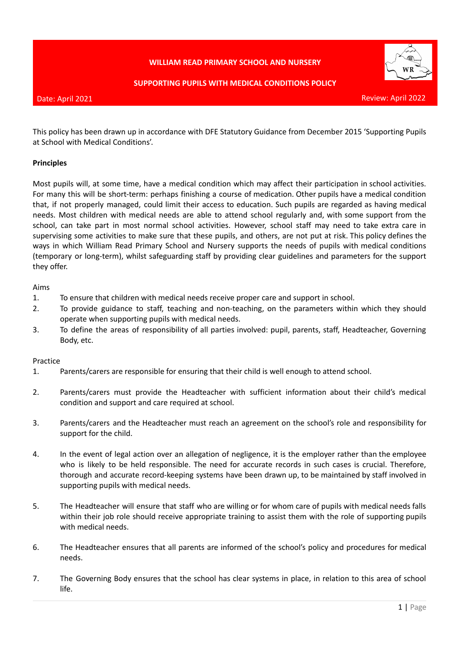# **WILLIAM READ PRIMARY SCHOOL AND NURSERY**



#### **SUPPORTING PUPILS WITH MEDICAL CONDITIONS POLICY**

#### Date: April 2021

This policy has been drawn up in accordance with DFE Statutory Guidance from December 2015 'Supporting Pupils at School with Medical Conditions'.

### **Principles**

Most pupils will, at some time, have a medical condition which may affect their participation in school activities. For many this will be short-term: perhaps finishing a course of medication. Other pupils have a medical condition that, if not properly managed, could limit their access to education. Such pupils are regarded as having medical needs. Most children with medical needs are able to attend school regularly and, with some support from the school, can take part in most normal school activities. However, school staff may need to take extra care in supervising some activities to make sure that these pupils, and others, are not put at risk. This policy defines the ways in which William Read Primary School and Nursery supports the needs of pupils with medical conditions (temporary or long-term), whilst safeguarding staff by providing clear guidelines and parameters for the support they offer.

#### Aims

- 1. To ensure that children with medical needs receive proper care and support in school.
- 2. To provide guidance to staff, teaching and non-teaching, on the parameters within which they should operate when supporting pupils with medical needs.
- 3. To define the areas of responsibility of all parties involved: pupil, parents, staff, Headteacher, Governing Body, etc.

#### Practice

- 1. Parents/carers are responsible for ensuring that their child is well enough to attend school.
- 2. Parents/carers must provide the Headteacher with sufficient information about their child's medical condition and support and care required at school.
- 3. Parents/carers and the Headteacher must reach an agreement on the school's role and responsibility for support for the child.
- 4. In the event of legal action over an allegation of negligence, it is the employer rather than the employee who is likely to be held responsible. The need for accurate records in such cases is crucial. Therefore, thorough and accurate record-keeping systems have been drawn up, to be maintained by staff involved in supporting pupils with medical needs.
- 5. The Headteacher will ensure that staff who are willing or for whom care of pupils with medical needs falls within their job role should receive appropriate training to assist them with the role of supporting pupils with medical needs.
- 6. The Headteacher ensures that all parents are informed of the school's policy and procedures for medical needs.
- 7. The Governing Body ensures that the school has clear systems in place, in relation to this area of school life.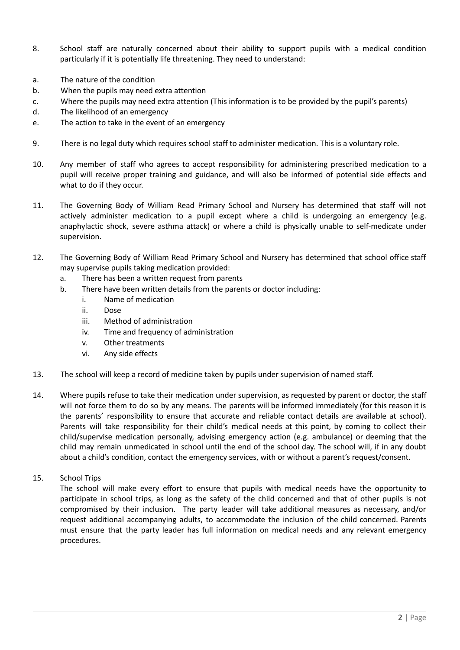- 8. School staff are naturally concerned about their ability to support pupils with a medical condition particularly if it is potentially life threatening. They need to understand:
- a. The nature of the condition
- b. When the pupils may need extra attention
- c. Where the pupils may need extra attention (This information is to be provided by the pupil's parents)
- d. The likelihood of an emergency
- e. The action to take in the event of an emergency
- 9. There is no legal duty which requires school staff to administer medication. This is a voluntary role.
- 10. Any member of staff who agrees to accept responsibility for administering prescribed medication to a pupil will receive proper training and guidance, and will also be informed of potential side effects and what to do if they occur.
- 11. The Governing Body of William Read Primary School and Nursery has determined that staff will not actively administer medication to a pupil except where a child is undergoing an emergency (e.g. anaphylactic shock, severe asthma attack) or where a child is physically unable to self-medicate under supervision.
- 12. The Governing Body of William Read Primary School and Nursery has determined that school office staff may supervise pupils taking medication provided:
	- a. There has been a written request from parents
	- b. There have been written details from the parents or doctor including:
		- i. Name of medication
		- ii. Dose
		- iii. Method of administration
		- iv. Time and frequency of administration
		- v. Other treatments
		- vi. Any side effects
- 13. The school will keep a record of medicine taken by pupils under supervision of named staff.
- 14. Where pupils refuse to take their medication under supervision, as requested by parent or doctor, the staff will not force them to do so by any means. The parents will be informed immediately (for this reason it is the parents' responsibility to ensure that accurate and reliable contact details are available at school). Parents will take responsibility for their child's medical needs at this point, by coming to collect their child/supervise medication personally, advising emergency action (e.g. ambulance) or deeming that the child may remain unmedicated in school until the end of the school day. The school will, if in any doubt about a child's condition, contact the emergency services, with or without a parent's request/consent.
- 15. School Trips

The school will make every effort to ensure that pupils with medical needs have the opportunity to participate in school trips, as long as the safety of the child concerned and that of other pupils is not compromised by their inclusion. The party leader will take additional measures as necessary, and/or request additional accompanying adults, to accommodate the inclusion of the child concerned. Parents must ensure that the party leader has full information on medical needs and any relevant emergency procedures.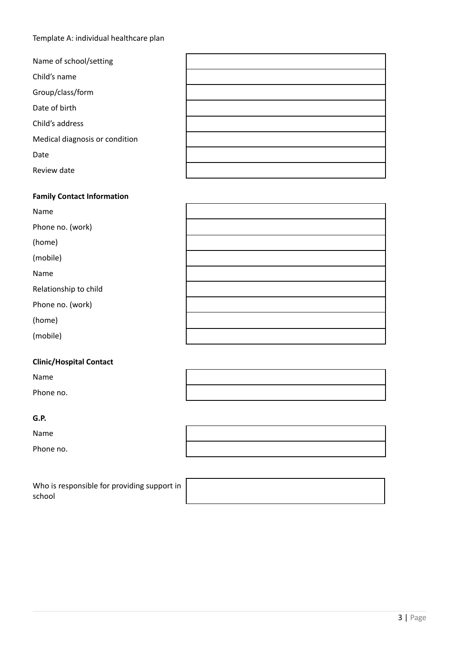# Template A: individual healthcare plan

| Name of school/setting         |  |
|--------------------------------|--|
| Child's name                   |  |
| Group/class/form               |  |
| Date of birth                  |  |
| Child's address                |  |
| Medical diagnosis or condition |  |
| Date                           |  |
| Review date                    |  |

| <b>Family Contact Information</b> |  |
|-----------------------------------|--|
| Name                              |  |
| Phone no. (work)                  |  |
| (home)                            |  |
| (mobile)                          |  |
| Name                              |  |
| Relationship to child             |  |
| Phone no. (work)                  |  |
| (home)                            |  |
| (mobile)                          |  |

# **Clinic/Hospital Contact**

Name

Phone no.

### **G.P.**

Name

Phone no.

| Who is responsible for providing support in |  |
|---------------------------------------------|--|
| school                                      |  |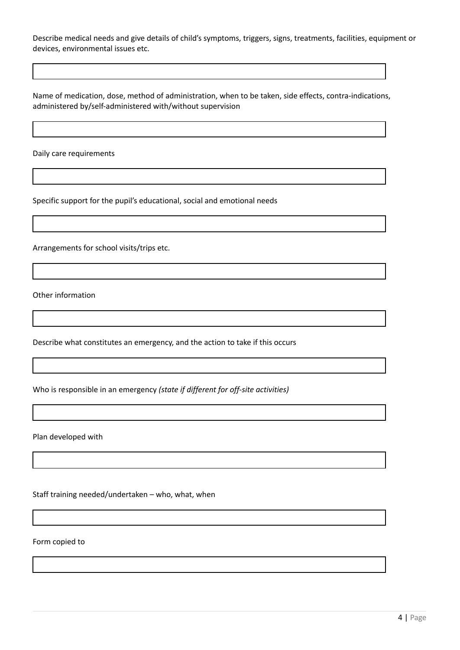Describe medical needs and give details of child's symptoms, triggers, signs, treatments, facilities, equipment or devices, environmental issues etc.

Name of medication, dose, method of administration, when to be taken, side effects, contra-indications, administered by/self-administered with/without supervision

Daily care requirements

Specific support for the pupil's educational, social and emotional needs

Arrangements for school visits/trips etc.

Other information

Describe what constitutes an emergency, and the action to take if this occurs

Who is responsible in an emergency *(state if different for off-site activities)*

Plan developed with

Staff training needed/undertaken – who, what, when

Form copied to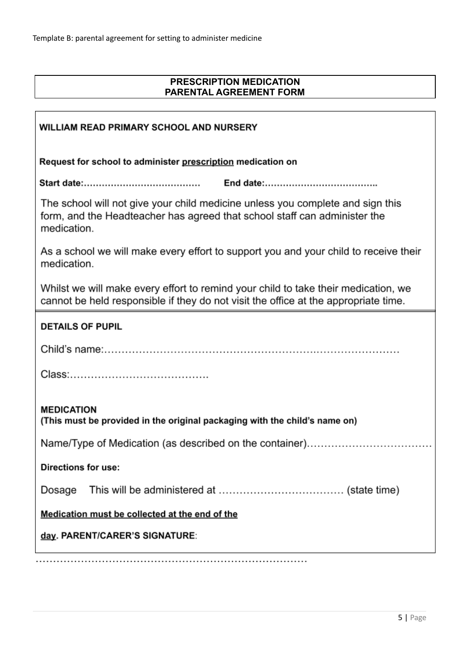# **PRESCRIPTION MEDICATION PARENTAL AGREEMENT FORM**

| <b>WILLIAM READ PRIMARY SCHOOL AND NURSERY</b>                                                                                                                             |  |  |  |  |  |  |
|----------------------------------------------------------------------------------------------------------------------------------------------------------------------------|--|--|--|--|--|--|
| Request for school to administer prescription medication on                                                                                                                |  |  |  |  |  |  |
|                                                                                                                                                                            |  |  |  |  |  |  |
| The school will not give your child medicine unless you complete and sign this<br>form, and the Headteacher has agreed that school staff can administer the<br>medication. |  |  |  |  |  |  |
| As a school we will make every effort to support you and your child to receive their<br>medication.                                                                        |  |  |  |  |  |  |
| Whilst we will make every effort to remind your child to take their medication, we<br>cannot be held responsible if they do not visit the office at the appropriate time.  |  |  |  |  |  |  |
| <b>DETAILS OF PUPIL</b>                                                                                                                                                    |  |  |  |  |  |  |
|                                                                                                                                                                            |  |  |  |  |  |  |
|                                                                                                                                                                            |  |  |  |  |  |  |
| <b>MEDICATION</b><br>(This must be provided in the original packaging with the child's name on)                                                                            |  |  |  |  |  |  |
|                                                                                                                                                                            |  |  |  |  |  |  |
| <b>Directions for use:</b>                                                                                                                                                 |  |  |  |  |  |  |
| Dosage                                                                                                                                                                     |  |  |  |  |  |  |
| Medication must be collected at the end of the                                                                                                                             |  |  |  |  |  |  |
| day. PARENT/CARER'S SIGNATURE:                                                                                                                                             |  |  |  |  |  |  |
|                                                                                                                                                                            |  |  |  |  |  |  |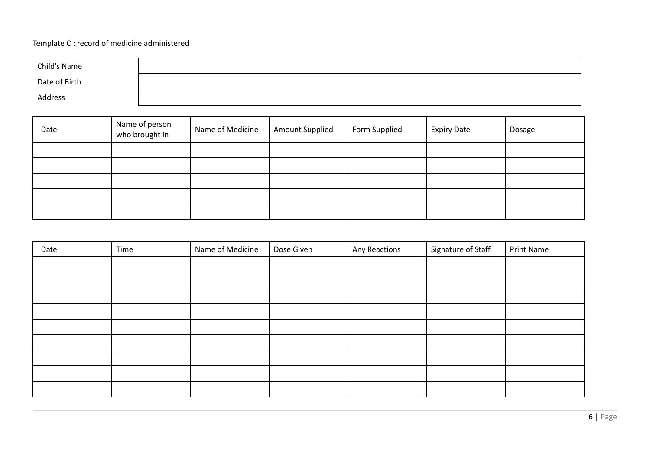# Template C : record of medicine administered

| Child's Name  |  |
|---------------|--|
| Date of Birth |  |
| Address       |  |

| Date | Name of person<br>who brought in | Name of Medicine | <b>Amount Supplied</b> | Form Supplied | <b>Expiry Date</b> | Dosage |
|------|----------------------------------|------------------|------------------------|---------------|--------------------|--------|
|      |                                  |                  |                        |               |                    |        |
|      |                                  |                  |                        |               |                    |        |
|      |                                  |                  |                        |               |                    |        |
|      |                                  |                  |                        |               |                    |        |
|      |                                  |                  |                        |               |                    |        |

| Date | Time | Name of Medicine | Dose Given | Any Reactions | Signature of Staff | <b>Print Name</b> |
|------|------|------------------|------------|---------------|--------------------|-------------------|
|      |      |                  |            |               |                    |                   |
|      |      |                  |            |               |                    |                   |
|      |      |                  |            |               |                    |                   |
|      |      |                  |            |               |                    |                   |
|      |      |                  |            |               |                    |                   |
|      |      |                  |            |               |                    |                   |
|      |      |                  |            |               |                    |                   |
|      |      |                  |            |               |                    |                   |
|      |      |                  |            |               |                    |                   |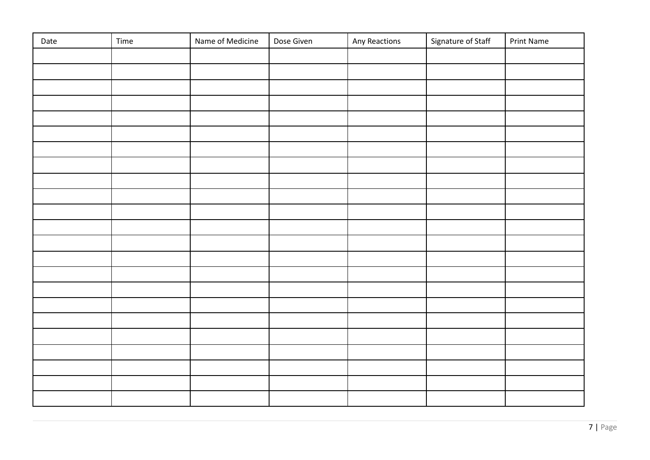| Date | Time | Name of Medicine | Dose Given | Any Reactions | Signature of Staff | <b>Print Name</b> |
|------|------|------------------|------------|---------------|--------------------|-------------------|
|      |      |                  |            |               |                    |                   |
|      |      |                  |            |               |                    |                   |
|      |      |                  |            |               |                    |                   |
|      |      |                  |            |               |                    |                   |
|      |      |                  |            |               |                    |                   |
|      |      |                  |            |               |                    |                   |
|      |      |                  |            |               |                    |                   |
|      |      |                  |            |               |                    |                   |
|      |      |                  |            |               |                    |                   |
|      |      |                  |            |               |                    |                   |
|      |      |                  |            |               |                    |                   |
|      |      |                  |            |               |                    |                   |
|      |      |                  |            |               |                    |                   |
|      |      |                  |            |               |                    |                   |
|      |      |                  |            |               |                    |                   |
|      |      |                  |            |               |                    |                   |
|      |      |                  |            |               |                    |                   |
|      |      |                  |            |               |                    |                   |
|      |      |                  |            |               |                    |                   |
|      |      |                  |            |               |                    |                   |
|      |      |                  |            |               |                    |                   |
|      |      |                  |            |               |                    |                   |
|      |      |                  |            |               |                    |                   |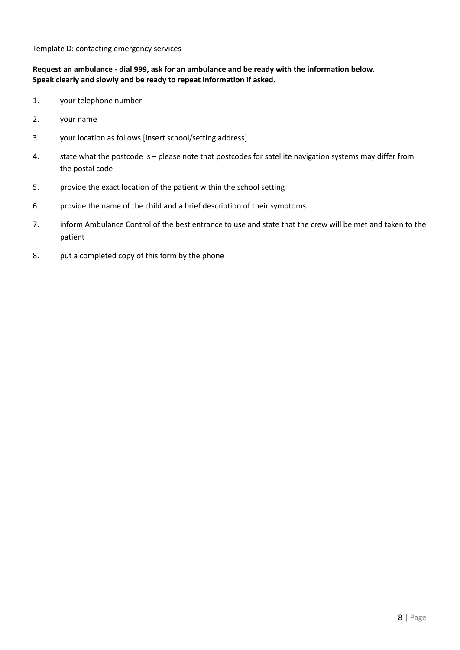Template D: contacting emergency services

# **Request an ambulance - dial 999, ask for an ambulance and be ready with the information below. Speak clearly and slowly and be ready to repeat information if asked.**

- 1. your telephone number
- 2. your name
- 3. your location as follows [insert school/setting address]
- 4. state what the postcode is please note that postcodes for satellite navigation systems may differ from the postal code
- 5. provide the exact location of the patient within the school setting
- 6. provide the name of the child and a brief description of their symptoms
- 7. inform Ambulance Control of the best entrance to use and state that the crew will be met and taken to the patient
- 8. put a completed copy of this form by the phone